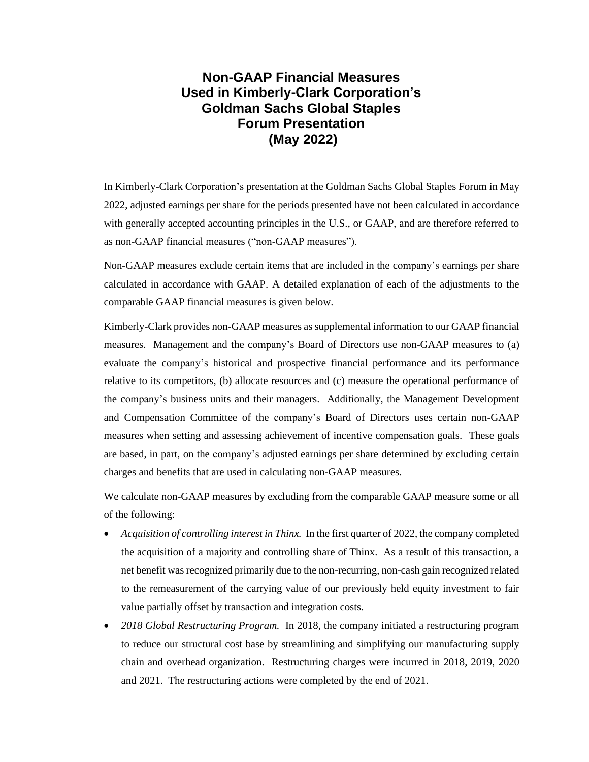## **Non-GAAP Financial Measures Used in Kimberly-Clark Corporation's Goldman Sachs Global Staples Forum Presentation (May 2022)**

In Kimberly-Clark Corporation's presentation at the Goldman Sachs Global Staples Forum in May 2022, adjusted earnings per share for the periods presented have not been calculated in accordance with generally accepted accounting principles in the U.S., or GAAP, and are therefore referred to as non-GAAP financial measures ("non-GAAP measures").

Non-GAAP measures exclude certain items that are included in the company's earnings per share calculated in accordance with GAAP. A detailed explanation of each of the adjustments to the comparable GAAP financial measures is given below.

Kimberly-Clark provides non-GAAP measures as supplemental information to our GAAP financial measures. Management and the company's Board of Directors use non-GAAP measures to (a) evaluate the company's historical and prospective financial performance and its performance relative to its competitors, (b) allocate resources and (c) measure the operational performance of the company's business units and their managers. Additionally, the Management Development and Compensation Committee of the company's Board of Directors uses certain non-GAAP measures when setting and assessing achievement of incentive compensation goals. These goals are based, in part, on the company's adjusted earnings per share determined by excluding certain charges and benefits that are used in calculating non-GAAP measures.

We calculate non-GAAP measures by excluding from the comparable GAAP measure some or all of the following:

- *Acquisition of controlling interest in Thinx.* In the first quarter of 2022, the company completed the acquisition of a majority and controlling share of Thinx. As a result of this transaction, a net benefit was recognized primarily due to the non-recurring, non-cash gain recognized related to the remeasurement of the carrying value of our previously held equity investment to fair value partially offset by transaction and integration costs.
- *2018 Global Restructuring Program.* In 2018, the company initiated a restructuring program to reduce our structural cost base by streamlining and simplifying our manufacturing supply chain and overhead organization. Restructuring charges were incurred in 2018, 2019, 2020 and 2021. The restructuring actions were completed by the end of 2021.